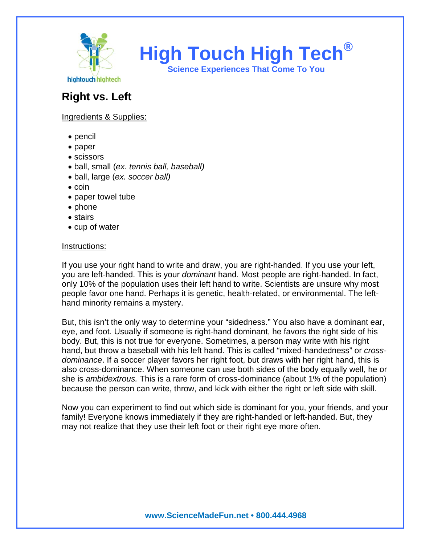

**High Touch High Tech®**

**Science Experiences That Come To You** 

## **Right vs. Left**

## Ingredients & Supplies:

- pencil
- paper
- scissors
- ball, small (*ex. tennis ball, baseball)*
- ball, large (*ex. soccer ball)*
- coin
- paper towel tube
- phone
- stairs
- cup of water

## Instructions:

If you use your right hand to write and draw, you are right-handed. If you use your left, you are left-handed. This is your *dominant* hand. Most people are right-handed. In fact, only 10% of the population uses their left hand to write. Scientists are unsure why most people favor one hand. Perhaps it is genetic, health-related, or environmental. The lefthand minority remains a mystery.

But, this isn't the only way to determine your "sidedness." You also have a dominant ear, eye, and foot. Usually if someone is right-hand dominant, he favors the right side of his body. But, this is not true for everyone. Sometimes, a person may write with his right hand, but throw a baseball with his left hand. This is called "mixed-handedness" or *crossdominance*. If a soccer player favors her right foot, but draws with her right hand, this is also cross-dominance. When someone can use both sides of the body equally well, he or she is *ambidextrous.* This is a rare form of cross-dominance (about 1% of the population) because the person can write, throw, and kick with either the right or left side with skill.

Now you can experiment to find out which side is dominant for you, your friends, and your family! Everyone knows immediately if they are right-handed or left-handed. But, they may not realize that they use their left foot or their right eye more often.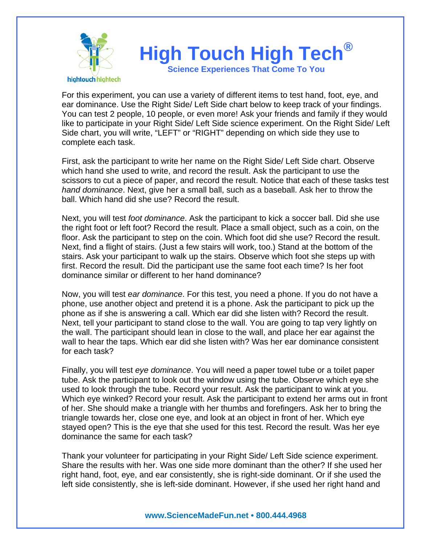

For this experiment, you can use a variety of different items to test hand, foot, eye, and ear dominance. Use the Right Side/ Left Side chart below to keep track of your findings. You can test 2 people, 10 people, or even more! Ask your friends and family if they would like to participate in your Right Side/ Left Side science experiment. On the Right Side/ Left Side chart, you will write, "LEFT" or "RIGHT" depending on which side they use to complete each task.

First, ask the participant to write her name on the Right Side/ Left Side chart. Observe which hand she used to write, and record the result. Ask the participant to use the scissors to cut a piece of paper, and record the result. Notice that each of these tasks test *hand dominance*. Next, give her a small ball, such as a baseball. Ask her to throw the ball. Which hand did she use? Record the result.

Next, you will test *foot dominance*. Ask the participant to kick a soccer ball. Did she use the right foot or left foot? Record the result. Place a small object, such as a coin, on the floor. Ask the participant to step on the coin. Which foot did she use? Record the result. Next, find a flight of stairs. (Just a few stairs will work, too.) Stand at the bottom of the stairs. Ask your participant to walk up the stairs. Observe which foot she steps up with first. Record the result. Did the participant use the same foot each time? Is her foot dominance similar or different to her hand dominance?

Now, you will test *ear dominance*. For this test, you need a phone. If you do not have a phone, use another object and pretend it is a phone. Ask the participant to pick up the phone as if she is answering a call. Which ear did she listen with? Record the result. Next, tell your participant to stand close to the wall. You are going to tap very lightly on the wall. The participant should lean in close to the wall, and place her ear against the wall to hear the taps. Which ear did she listen with? Was her ear dominance consistent for each task?

Finally, you will test *eye dominance*. You will need a paper towel tube or a toilet paper tube. Ask the participant to look out the window using the tube. Observe which eye she used to look through the tube. Record your result. Ask the participant to wink at you. Which eye winked? Record your result. Ask the participant to extend her arms out in front of her. She should make a triangle with her thumbs and forefingers. Ask her to bring the triangle towards her, close one eye, and look at an object in front of her. Which eye stayed open? This is the eye that she used for this test. Record the result. Was her eye dominance the same for each task?

Thank your volunteer for participating in your Right Side/ Left Side science experiment. Share the results with her. Was one side more dominant than the other? If she used her right hand, foot, eye, and ear consistently, she is right-side dominant. Or if she used the left side consistently, she is left-side dominant. However, if she used her right hand and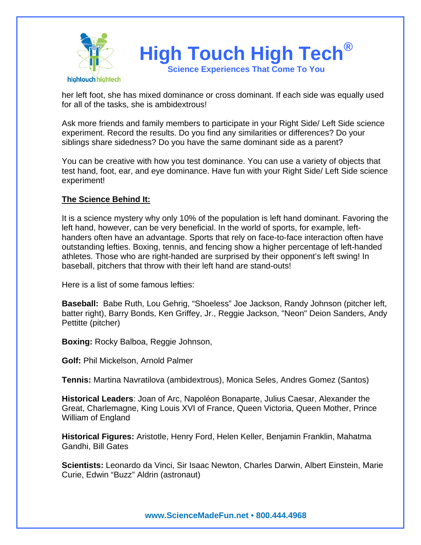

her left foot, she has mixed dominance or cross dominant. If each side was equally used for all of the tasks, she is ambidextrous!

Ask more friends and family members to participate in your Right Side/ Left Side science experiment. Record the results. Do you find any similarities or differences? Do your siblings share sidedness? Do you have the same dominant side as a parent?

You can be creative with how you test dominance. You can use a variety of objects that test hand, foot, ear, and eye dominance. Have fun with your Right Side/ Left Side science experiment!

## **The Science Behind It:**

It is a science mystery why only 10% of the population is left hand dominant. Favoring the left hand, however, can be very beneficial. In the world of sports, for example, lefthanders often have an advantage. Sports that rely on face-to-face interaction often have outstanding lefties. Boxing, tennis, and fencing show a higher percentage of left-handed athletes. Those who are right-handed are surprised by their opponent's left swing! In baseball, pitchers that throw with their left hand are stand-outs!

Here is a list of some famous lefties:

**Baseball:** Babe Ruth, Lou Gehrig, "Shoeless" Joe Jackson, Randy Johnson (pitcher left, batter right), Barry Bonds, Ken Griffey, Jr., Reggie Jackson, "Neon" Deion Sanders, Andy Pettitte (pitcher)

**Boxing:** Rocky Balboa, Reggie Johnson,

**Golf:** Phil Mickelson, Arnold Palmer

**Tennis:** Martina Navratilova (ambidextrous), Monica Seles, Andres Gomez (Santos)

**Historical Leaders**: Joan of Arc, Napoléon Bonaparte, Julius Caesar, Alexander the Great, Charlemagne, King Louis XVI of France, Queen Victoria, Queen Mother, Prince William of England

**Historical Figures:** Aristotle, Henry Ford, Helen Keller, Benjamin Franklin, Mahatma Gandhi, Bill Gates

**Scientists:** Leonardo da Vinci, Sir Isaac Newton, Charles Darwin, Albert Einstein, Marie Curie, Edwin "Buzz" Aldrin (astronaut)

**www.ScienceMadeFun.net • 800.444.4968**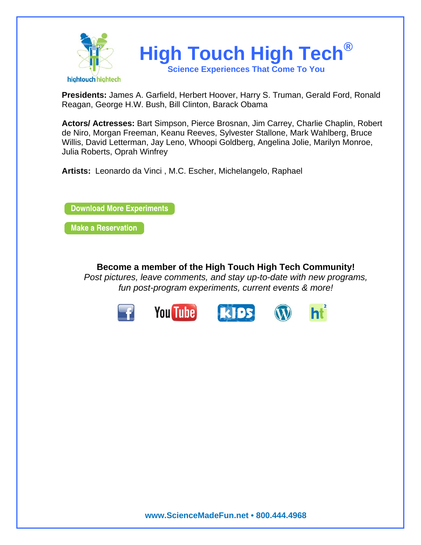

**Presidents:** James A. Garfield, Herbert Hoover, Harry S. Truman, Gerald Ford, Ronald Reagan, George H.W. Bush, Bill Clinton, Barack Obama

**Actors/ Actresses:** Bart Simpson, Pierce Brosnan, Jim Carrey, Charlie Chaplin, Robert de Niro, Morgan Freeman, Keanu Reeves, Sylvester Stallone, Mark Wahlberg, Bruce Willis, David Letterman, Jay Leno, Whoopi Goldberg, Angelina Jolie, Marilyn Monroe, Julia Roberts, Oprah Winfrey

**Artists:** Leonardo da Vinci , M.C. Escher, Michelangelo, Raphael

**Download More Experiments** 

**Make a Reservation** 

**Become a member of the High Touch High Tech Community!**  *Post pictures, leave comments, and stay up-to-date with new programs, fun post-program experiments, current events & more!*